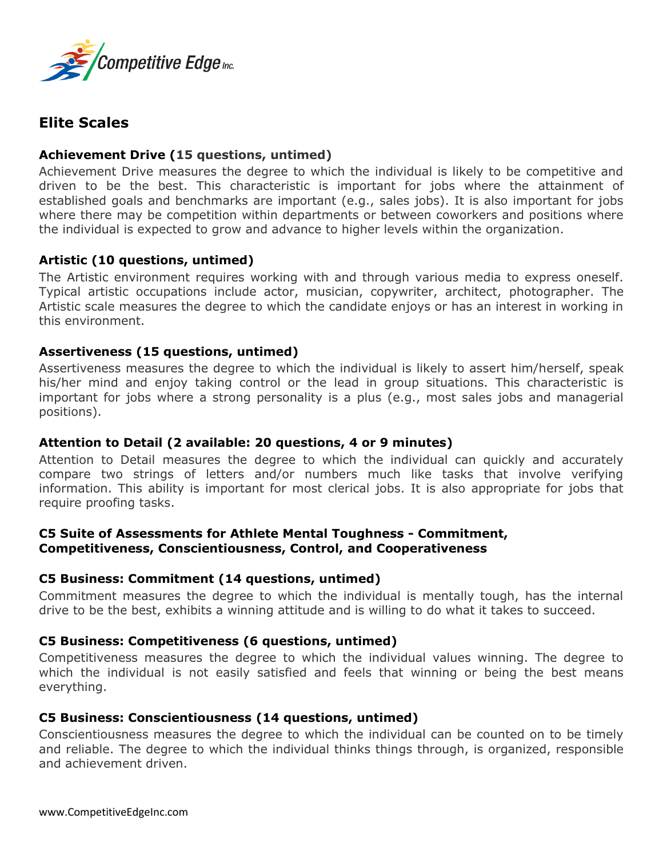

# **Elite Scales**

## **Achievement Drive (15 questions, untimed)**

Achievement Drive measures the degree to which the individual is likely to be competitive and driven to be the best. This characteristic is important for jobs where the attainment of established goals and benchmarks are important (e.g., sales jobs). It is also important for jobs where there may be competition within departments or between coworkers and positions where the individual is expected to grow and advance to higher levels within the organization.

## **Artistic (10 questions, untimed)**

The Artistic environment requires working with and through various media to express oneself. Typical artistic occupations include actor, musician, copywriter, architect, photographer. The Artistic scale measures the degree to which the candidate enjoys or has an interest in working in this environment.

## **Assertiveness (15 questions, untimed)**

Assertiveness measures the degree to which the individual is likely to assert him/herself, speak his/her mind and enjoy taking control or the lead in group situations. This characteristic is important for jobs where a strong personality is a plus (e.g., most sales jobs and managerial positions).

## **Attention to Detail (2 available: 20 questions, 4 or 9 minutes)**

Attention to Detail measures the degree to which the individual can quickly and accurately compare two strings of letters and/or numbers much like tasks that involve verifying information. This ability is important for most clerical jobs. It is also appropriate for jobs that require proofing tasks.

## **C5 Suite of Assessments for Athlete Mental Toughness - Commitment, Competitiveness, Conscientiousness, Control, and Cooperativeness**

## **C5 Business: Commitment (14 questions, untimed)**

Commitment measures the degree to which the individual is mentally tough, has the internal drive to be the best, exhibits a winning attitude and is willing to do what it takes to succeed.

## **C5 Business: Competitiveness (6 questions, untimed)**

Competitiveness measures the degree to which the individual values winning. The degree to which the individual is not easily satisfied and feels that winning or being the best means everything.

## **C5 Business: Conscientiousness (14 questions, untimed)**

Conscientiousness measures the degree to which the individual can be counted on to be timely and reliable. The degree to which the individual thinks things through, is organized, responsible and achievement driven.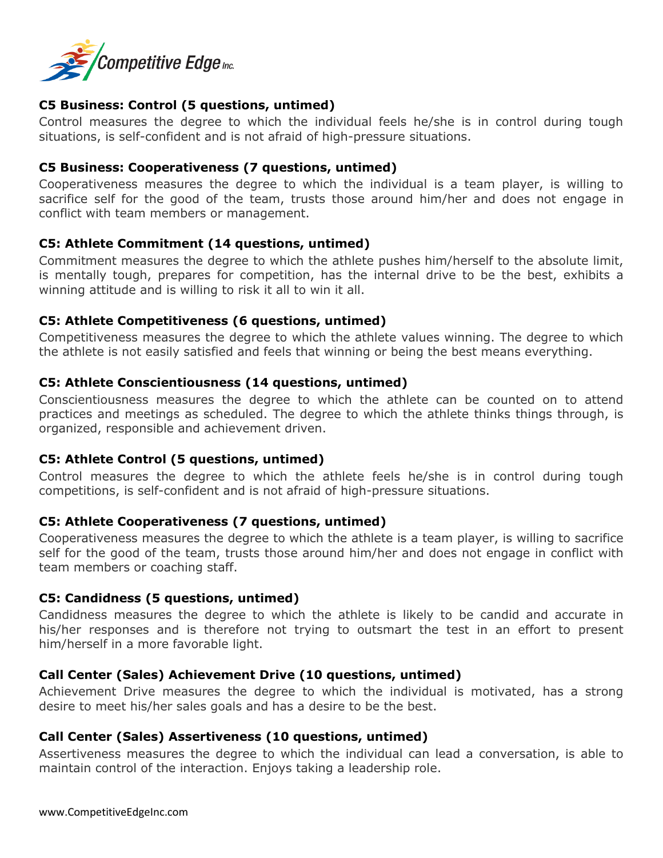

## **C5 Business: Control (5 questions, untimed)**

Control measures the degree to which the individual feels he/she is in control during tough situations, is self-confident and is not afraid of high-pressure situations.

### **C5 Business: Cooperativeness (7 questions, untimed)**

Cooperativeness measures the degree to which the individual is a team player, is willing to sacrifice self for the good of the team, trusts those around him/her and does not engage in conflict with team members or management.

#### **C5: Athlete Commitment (14 questions, untimed)**

Commitment measures the degree to which the athlete pushes him/herself to the absolute limit, is mentally tough, prepares for competition, has the internal drive to be the best, exhibits a winning attitude and is willing to risk it all to win it all.

#### **C5: Athlete Competitiveness (6 questions, untimed)**

Competitiveness measures the degree to which the athlete values winning. The degree to which the athlete is not easily satisfied and feels that winning or being the best means everything.

### **C5: Athlete Conscientiousness (14 questions, untimed)**

Conscientiousness measures the degree to which the athlete can be counted on to attend practices and meetings as scheduled. The degree to which the athlete thinks things through, is organized, responsible and achievement driven.

#### **C5: Athlete Control (5 questions, untimed)**

Control measures the degree to which the athlete feels he/she is in control during tough competitions, is self-confident and is not afraid of high-pressure situations.

#### **C5: Athlete Cooperativeness (7 questions, untimed)**

Cooperativeness measures the degree to which the athlete is a team player, is willing to sacrifice self for the good of the team, trusts those around him/her and does not engage in conflict with team members or coaching staff.

#### **C5: Candidness (5 questions, untimed)**

Candidness measures the degree to which the athlete is likely to be candid and accurate in his/her responses and is therefore not trying to outsmart the test in an effort to present him/herself in a more favorable light.

## **Call Center (Sales) Achievement Drive (10 questions, untimed)**

Achievement Drive measures the degree to which the individual is motivated, has a strong desire to meet his/her sales goals and has a desire to be the best.

## **Call Center (Sales) Assertiveness (10 questions, untimed)**

Assertiveness measures the degree to which the individual can lead a conversation, is able to maintain control of the interaction. Enjoys taking a leadership role.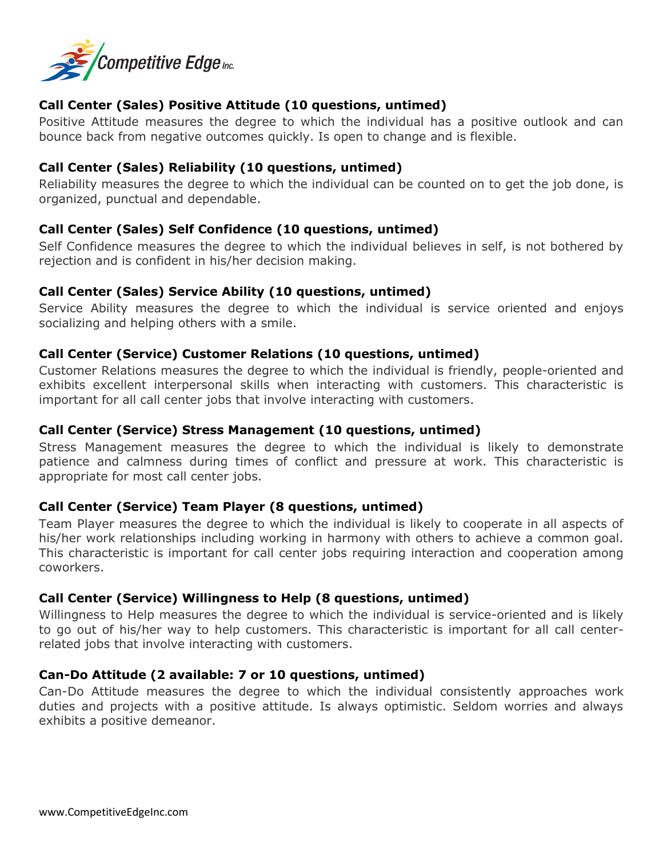

## **Call Center (Sales) Positive Attitude (10 questions, untimed)**

Positive Attitude measures the degree to which the individual has a positive outlook and can bounce back from negative outcomes quickly. Is open to change and is flexible.

## **Call Center (Sales) Reliability (10 questions, untimed)**

Reliability measures the degree to which the individual can be counted on to get the job done, is organized, punctual and dependable.

## **Call Center (Sales) Self Confidence (10 questions, untimed)**

Self Confidence measures the degree to which the individual believes in self, is not bothered by rejection and is confident in his/her decision making.

### **Call Center (Sales) Service Ability (10 questions, untimed)**

Service Ability measures the degree to which the individual is service oriented and enjoys socializing and helping others with a smile.

### **Call Center (Service) Customer Relations (10 questions, untimed)**

Customer Relations measures the degree to which the individual is friendly, people-oriented and exhibits excellent interpersonal skills when interacting with customers. This characteristic is important for all call center jobs that involve interacting with customers.

#### **Call Center (Service) Stress Management (10 questions, untimed)**

Stress Management measures the degree to which the individual is likely to demonstrate patience and calmness during times of conflict and pressure at work. This characteristic is appropriate for most call center jobs.

## **Call Center (Service) Team Player (8 questions, untimed)**

Team Player measures the degree to which the individual is likely to cooperate in all aspects of his/her work relationships including working in harmony with others to achieve a common goal. This characteristic is important for call center jobs requiring interaction and cooperation among coworkers.

#### **Call Center (Service) Willingness to Help (8 questions, untimed)**

Willingness to Help measures the degree to which the individual is service-oriented and is likely to go out of his/her way to help customers. This characteristic is important for all call centerrelated jobs that involve interacting with customers.

#### **Can-Do Attitude (2 available: 7 or 10 questions, untimed)**

Can-Do Attitude measures the degree to which the individual consistently approaches work duties and projects with a positive attitude. Is always optimistic. Seldom worries and always exhibits a positive demeanor.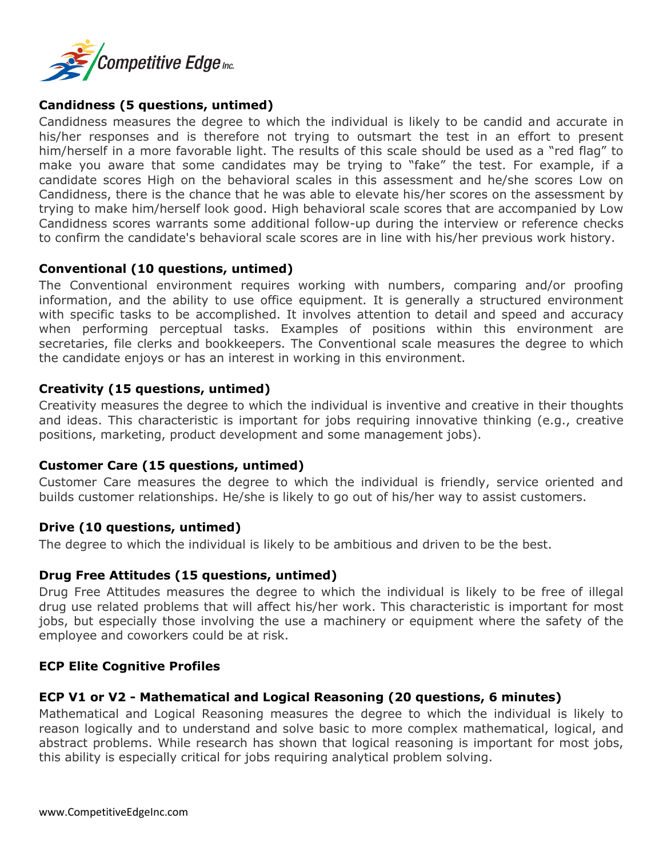

## **Candidness (5 questions, untimed)**

Candidness measures the degree to which the individual is likely to be candid and accurate in his/her responses and is therefore not trying to outsmart the test in an effort to present him/herself in a more favorable light. The results of this scale should be used as a "red flag" to make you aware that some candidates may be trying to "fake" the test. For example, if a candidate scores High on the behavioral scales in this assessment and he/she scores Low on Candidness, there is the chance that he was able to elevate his/her scores on the assessment by trying to make him/herself look good. High behavioral scale scores that are accompanied by Low Candidness scores warrants some additional follow-up during the interview or reference checks to confirm the candidate's behavioral scale scores are in line with his/her previous work history.

### **Conventional (10 questions, untimed)**

The Conventional environment requires working with numbers, comparing and/or proofing information, and the ability to use office equipment. It is generally a structured environment with specific tasks to be accomplished. It involves attention to detail and speed and accuracy when performing perceptual tasks. Examples of positions within this environment are secretaries, file clerks and bookkeepers. The Conventional scale measures the degree to which the candidate enjoys or has an interest in working in this environment.

### **Creativity (15 questions, untimed)**

Creativity measures the degree to which the individual is inventive and creative in their thoughts and ideas. This characteristic is important for jobs requiring innovative thinking (e.g., creative positions, marketing, product development and some management jobs).

#### **Customer Care (15 questions, untimed)**

Customer Care measures the degree to which the individual is friendly, service oriented and builds customer relationships. He/she is likely to go out of his/her way to assist customers.

#### **Drive (10 questions, untimed)**

The degree to which the individual is likely to be ambitious and driven to be the best.

#### **Drug Free Attitudes (15 questions, untimed)**

Drug Free Attitudes measures the degree to which the individual is likely to be free of illegal drug use related problems that will affect his/her work. This characteristic is important for most jobs, but especially those involving the use a machinery or equipment where the safety of the employee and coworkers could be at risk.

#### **ECP Elite Cognitive Profiles**

## **ECP V1 or V2 - Mathematical and Logical Reasoning (20 questions, 6 minutes)**

Mathematical and Logical Reasoning measures the degree to which the individual is likely to reason logically and to understand and solve basic to more complex mathematical, logical, and abstract problems. While research has shown that logical reasoning is important for most jobs, this ability is especially critical for jobs requiring analytical problem solving.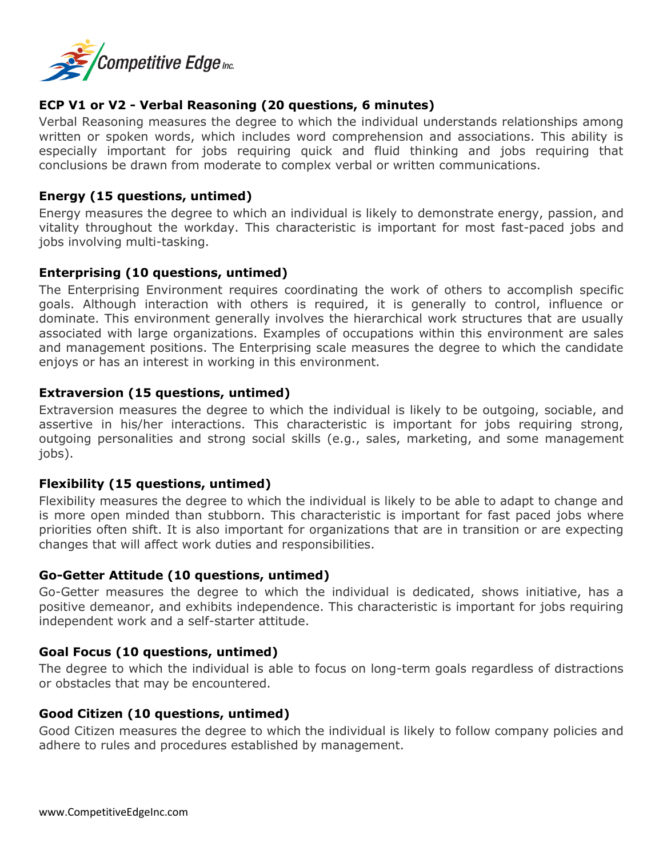

## **ECP V1 or V2 - Verbal Reasoning (20 questions, 6 minutes)**

Verbal Reasoning measures the degree to which the individual understands relationships among written or spoken words, which includes word comprehension and associations. This ability is especially important for jobs requiring quick and fluid thinking and jobs requiring that conclusions be drawn from moderate to complex verbal or written communications.

## **Energy (15 questions, untimed)**

Energy measures the degree to which an individual is likely to demonstrate energy, passion, and vitality throughout the workday. This characteristic is important for most fast-paced jobs and jobs involving multi-tasking.

## **Enterprising (10 questions, untimed)**

The Enterprising Environment requires coordinating the work of others to accomplish specific goals. Although interaction with others is required, it is generally to control, influence or dominate. This environment generally involves the hierarchical work structures that are usually associated with large organizations. Examples of occupations within this environment are sales and management positions. The Enterprising scale measures the degree to which the candidate enjoys or has an interest in working in this environment.

## **Extraversion (15 questions, untimed)**

Extraversion measures the degree to which the individual is likely to be outgoing, sociable, and assertive in his/her interactions. This characteristic is important for jobs requiring strong, outgoing personalities and strong social skills (e.g., sales, marketing, and some management jobs).

## **Flexibility (15 questions, untimed)**

Flexibility measures the degree to which the individual is likely to be able to adapt to change and is more open minded than stubborn. This characteristic is important for fast paced jobs where priorities often shift. It is also important for organizations that are in transition or are expecting changes that will affect work duties and responsibilities.

## **Go-Getter Attitude (10 questions, untimed)**

Go-Getter measures the degree to which the individual is dedicated, shows initiative, has a positive demeanor, and exhibits independence. This characteristic is important for jobs requiring independent work and a self-starter attitude.

## **Goal Focus (10 questions, untimed)**

The degree to which the individual is able to focus on long-term goals regardless of distractions or obstacles that may be encountered.

## **Good Citizen (10 questions, untimed)**

Good Citizen measures the degree to which the individual is likely to follow company policies and adhere to rules and procedures established by management.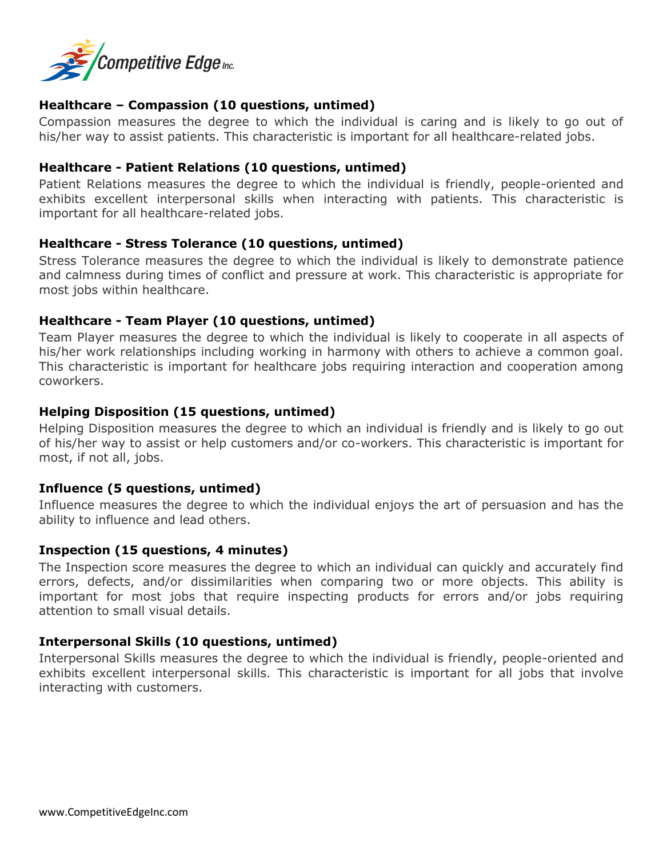

## **Healthcare – Compassion (10 questions, untimed)**

Compassion measures the degree to which the individual is caring and is likely to go out of his/her way to assist patients. This characteristic is important for all healthcare-related jobs.

### **Healthcare - Patient Relations (10 questions, untimed)**

Patient Relations measures the degree to which the individual is friendly, people-oriented and exhibits excellent interpersonal skills when interacting with patients. This characteristic is important for all healthcare-related jobs.

### **Healthcare - Stress Tolerance (10 questions, untimed)**

Stress Tolerance measures the degree to which the individual is likely to demonstrate patience and calmness during times of conflict and pressure at work. This characteristic is appropriate for most jobs within healthcare.

### **Healthcare - Team Player (10 questions, untimed)**

Team Player measures the degree to which the individual is likely to cooperate in all aspects of his/her work relationships including working in harmony with others to achieve a common goal. This characteristic is important for healthcare jobs requiring interaction and cooperation among coworkers.

### **Helping Disposition (15 questions, untimed)**

Helping Disposition measures the degree to which an individual is friendly and is likely to go out of his/her way to assist or help customers and/or co-workers. This characteristic is important for most, if not all, jobs.

#### **Influence (5 questions, untimed)**

Influence measures the degree to which the individual enjoys the art of persuasion and has the ability to influence and lead others.

#### **Inspection (15 questions, 4 minutes)**

The Inspection score measures the degree to which an individual can quickly and accurately find errors, defects, and/or dissimilarities when comparing two or more objects. This ability is important for most jobs that require inspecting products for errors and/or jobs requiring attention to small visual details.

## **Interpersonal Skills (10 questions, untimed)**

Interpersonal Skills measures the degree to which the individual is friendly, people-oriented and exhibits excellent interpersonal skills. This characteristic is important for all jobs that involve interacting with customers.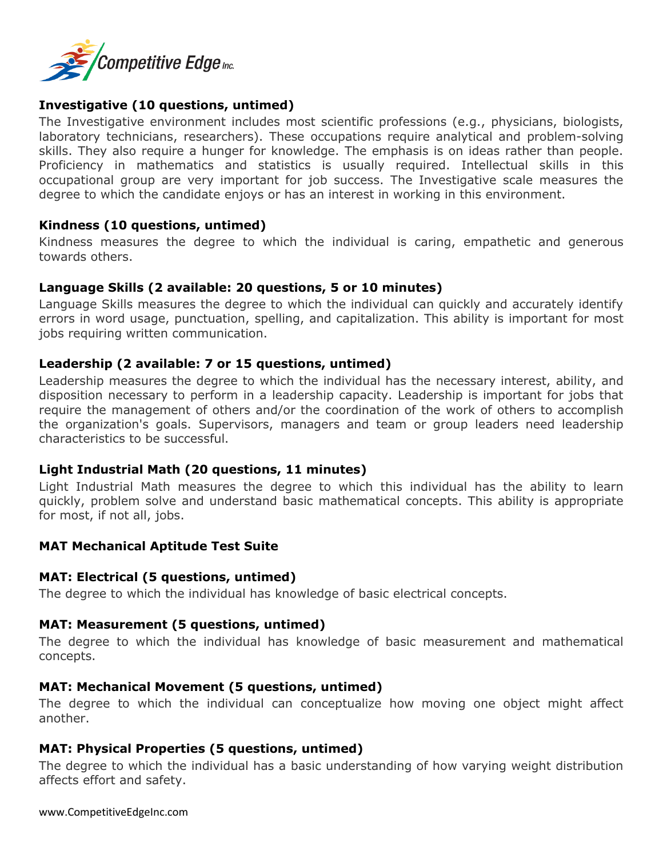

## **Investigative (10 questions, untimed)**

The Investigative environment includes most scientific professions (e.g., physicians, biologists, laboratory technicians, researchers). These occupations require analytical and problem-solving skills. They also require a hunger for knowledge. The emphasis is on ideas rather than people. Proficiency in mathematics and statistics is usually required. Intellectual skills in this occupational group are very important for job success. The Investigative scale measures the degree to which the candidate enjoys or has an interest in working in this environment.

### **Kindness (10 questions, untimed)**

Kindness measures the degree to which the individual is caring, empathetic and generous towards others.

#### **Language Skills (2 available: 20 questions, 5 or 10 minutes)**

Language Skills measures the degree to which the individual can quickly and accurately identify errors in word usage, punctuation, spelling, and capitalization. This ability is important for most jobs requiring written communication.

## **Leadership (2 available: 7 or 15 questions, untimed)**

Leadership measures the degree to which the individual has the necessary interest, ability, and disposition necessary to perform in a leadership capacity. Leadership is important for jobs that require the management of others and/or the coordination of the work of others to accomplish the organization's goals. Supervisors, managers and team or group leaders need leadership characteristics to be successful.

#### **Light Industrial Math (20 questions, 11 minutes)**

Light Industrial Math measures the degree to which this individual has the ability to learn quickly, problem solve and understand basic mathematical concepts. This ability is appropriate for most, if not all, jobs.

#### **MAT Mechanical Aptitude Test Suite**

#### **MAT: Electrical (5 questions, untimed)**

The degree to which the individual has knowledge of basic electrical concepts.

#### **MAT: Measurement (5 questions, untimed)**

The degree to which the individual has knowledge of basic measurement and mathematical concepts.

#### **MAT: Mechanical Movement (5 questions, untimed)**

The degree to which the individual can conceptualize how moving one object might affect another.

#### **MAT: Physical Properties (5 questions, untimed)**

The degree to which the individual has a basic understanding of how varying weight distribution affects effort and safety.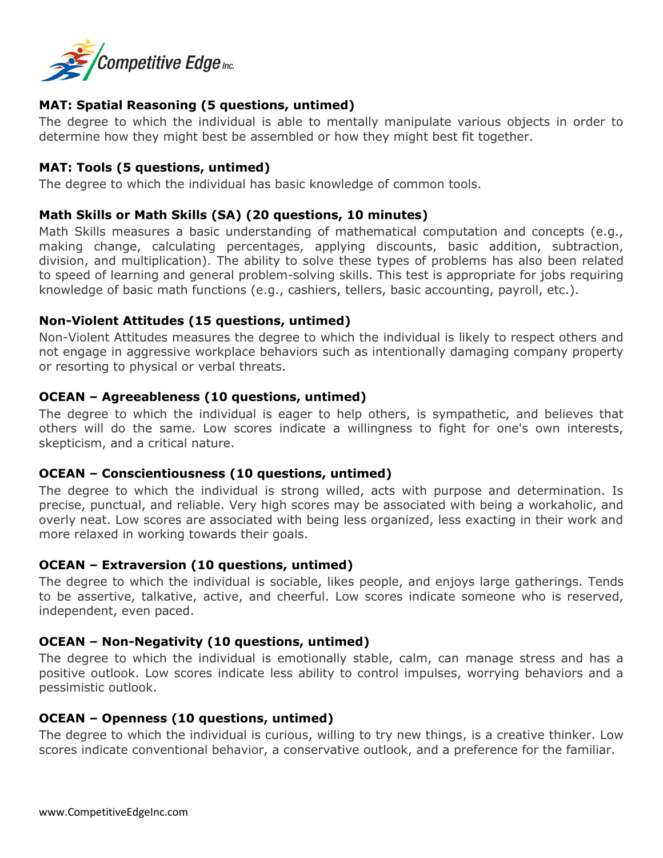

## **MAT: Spatial Reasoning (5 questions, untimed)**

The degree to which the individual is able to mentally manipulate various objects in order to determine how they might best be assembled or how they might best fit together.

## **MAT: Tools (5 questions, untimed)**

The degree to which the individual has basic knowledge of common tools.

## **Math Skills or Math Skills (SA) (20 questions, 10 minutes)**

Math Skills measures a basic understanding of mathematical computation and concepts (e.g., making change, calculating percentages, applying discounts, basic addition, subtraction, division, and multiplication). The ability to solve these types of problems has also been related to speed of learning and general problem-solving skills. This test is appropriate for jobs requiring knowledge of basic math functions (e.g., cashiers, tellers, basic accounting, payroll, etc.).

### **Non-Violent Attitudes (15 questions, untimed)**

Non-Violent Attitudes measures the degree to which the individual is likely to respect others and not engage in aggressive workplace behaviors such as intentionally damaging company property or resorting to physical or verbal threats.

### **OCEAN – Agreeableness (10 questions, untimed)**

The degree to which the individual is eager to help others, is sympathetic, and believes that others will do the same. Low scores indicate a willingness to fight for one's own interests, skepticism, and a critical nature.

#### **OCEAN – Conscientiousness (10 questions, untimed)**

The degree to which the individual is strong willed, acts with purpose and determination. Is precise, punctual, and reliable. Very high scores may be associated with being a workaholic, and overly neat. Low scores are associated with being less organized, less exacting in their work and more relaxed in working towards their goals.

## **OCEAN – Extraversion (10 questions, untimed)**

The degree to which the individual is sociable, likes people, and enjoys large gatherings. Tends to be assertive, talkative, active, and cheerful. Low scores indicate someone who is reserved, independent, even paced.

## **OCEAN – Non-Negativity (10 questions, untimed)**

The degree to which the individual is emotionally stable, calm, can manage stress and has a positive outlook. Low scores indicate less ability to control impulses, worrying behaviors and a pessimistic outlook.

#### **OCEAN – Openness (10 questions, untimed)**

The degree to which the individual is curious, willing to try new things, is a creative thinker. Low scores indicate conventional behavior, a conservative outlook, and a preference for the familiar.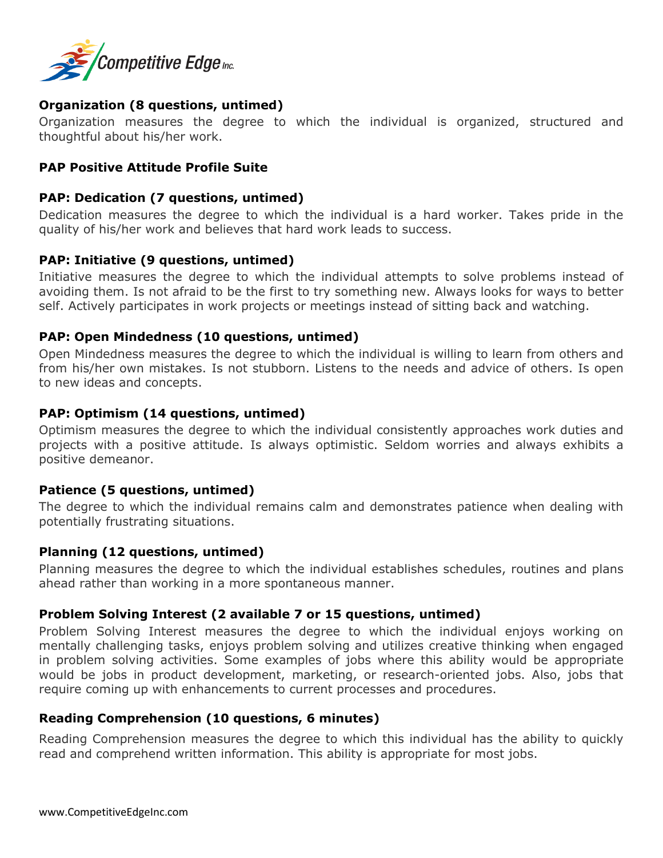

## **Organization (8 questions, untimed)**

Organization measures the degree to which the individual is organized, structured and thoughtful about his/her work.

### **PAP Positive Attitude Profile Suite**

#### **PAP: Dedication (7 questions, untimed)**

Dedication measures the degree to which the individual is a hard worker. Takes pride in the quality of his/her work and believes that hard work leads to success.

#### **PAP: Initiative (9 questions, untimed)**

Initiative measures the degree to which the individual attempts to solve problems instead of avoiding them. Is not afraid to be the first to try something new. Always looks for ways to better self. Actively participates in work projects or meetings instead of sitting back and watching.

#### **PAP: Open Mindedness (10 questions, untimed)**

Open Mindedness measures the degree to which the individual is willing to learn from others and from his/her own mistakes. Is not stubborn. Listens to the needs and advice of others. Is open to new ideas and concepts.

#### **PAP: Optimism (14 questions, untimed)**

Optimism measures the degree to which the individual consistently approaches work duties and projects with a positive attitude. Is always optimistic. Seldom worries and always exhibits a positive demeanor.

#### **Patience (5 questions, untimed)**

The degree to which the individual remains calm and demonstrates patience when dealing with potentially frustrating situations.

#### **Planning (12 questions, untimed)**

Planning measures the degree to which the individual establishes schedules, routines and plans ahead rather than working in a more spontaneous manner.

## **Problem Solving Interest (2 available 7 or 15 questions, untimed)**

Problem Solving Interest measures the degree to which the individual enjoys working on mentally challenging tasks, enjoys problem solving and utilizes creative thinking when engaged in problem solving activities. Some examples of jobs where this ability would be appropriate would be jobs in product development, marketing, or research-oriented jobs. Also, jobs that require coming up with enhancements to current processes and procedures.

#### **Reading Comprehension (10 questions, 6 minutes)**

Reading Comprehension measures the degree to which this individual has the ability to quickly read and comprehend written information. This ability is appropriate for most jobs.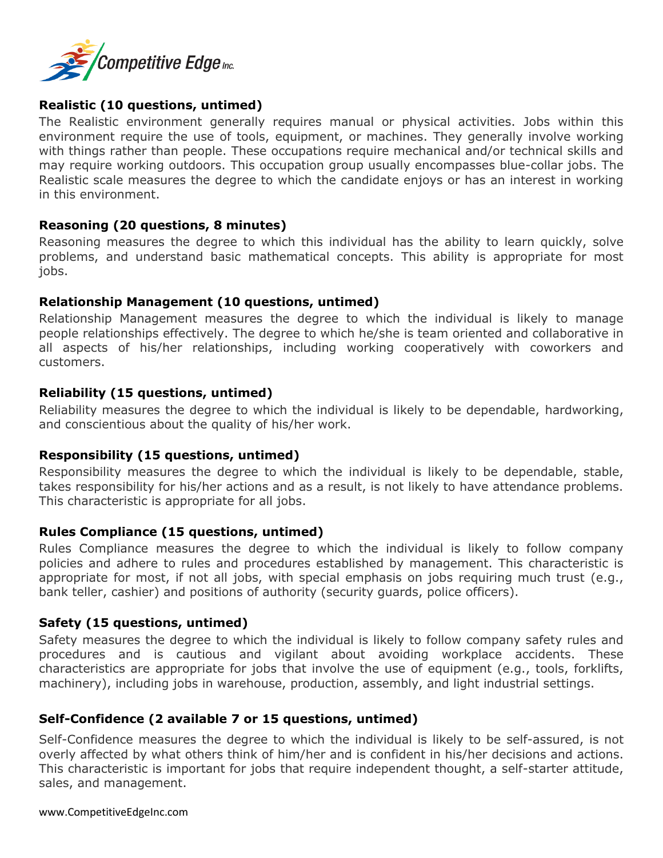

## **Realistic (10 questions, untimed)**

The Realistic environment generally requires manual or physical activities. Jobs within this environment require the use of tools, equipment, or machines. They generally involve working with things rather than people. These occupations require mechanical and/or technical skills and may require working outdoors. This occupation group usually encompasses blue-collar jobs. The Realistic scale measures the degree to which the candidate enjoys or has an interest in working in this environment.

### **Reasoning (20 questions, 8 minutes)**

Reasoning measures the degree to which this individual has the ability to learn quickly, solve problems, and understand basic mathematical concepts. This ability is appropriate for most jobs.

### **Relationship Management (10 questions, untimed)**

Relationship Management measures the degree to which the individual is likely to manage people relationships effectively. The degree to which he/she is team oriented and collaborative in all aspects of his/her relationships, including working cooperatively with coworkers and customers.

## **Reliability (15 questions, untimed)**

Reliability measures the degree to which the individual is likely to be dependable, hardworking, and conscientious about the quality of his/her work.

## **Responsibility (15 questions, untimed)**

Responsibility measures the degree to which the individual is likely to be dependable, stable, takes responsibility for his/her actions and as a result, is not likely to have attendance problems. This characteristic is appropriate for all jobs.

#### **Rules Compliance (15 questions, untimed)**

Rules Compliance measures the degree to which the individual is likely to follow company policies and adhere to rules and procedures established by management. This characteristic is appropriate for most, if not all jobs, with special emphasis on jobs requiring much trust (e.g., bank teller, cashier) and positions of authority (security guards, police officers).

## **Safety (15 questions, untimed)**

Safety measures the degree to which the individual is likely to follow company safety rules and procedures and is cautious and vigilant about avoiding workplace accidents. These characteristics are appropriate for jobs that involve the use of equipment (e.g., tools, forklifts, machinery), including jobs in warehouse, production, assembly, and light industrial settings.

## **Self-Confidence (2 available 7 or 15 questions, untimed)**

Self-Confidence measures the degree to which the individual is likely to be self-assured, is not overly affected by what others think of him/her and is confident in his/her decisions and actions. This characteristic is important for jobs that require independent thought, a self-starter attitude, sales, and management.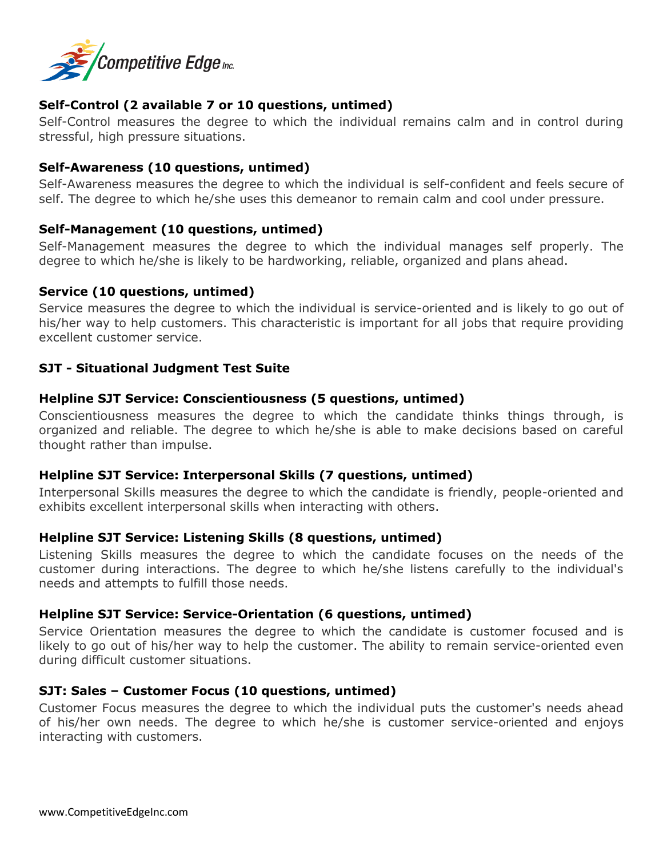

## **Self-Control (2 available 7 or 10 questions, untimed)**

Self-Control measures the degree to which the individual remains calm and in control during stressful, high pressure situations.

### **Self-Awareness (10 questions, untimed)**

Self-Awareness measures the degree to which the individual is self-confident and feels secure of self. The degree to which he/she uses this demeanor to remain calm and cool under pressure.

### **Self-Management (10 questions, untimed)**

Self-Management measures the degree to which the individual manages self properly. The degree to which he/she is likely to be hardworking, reliable, organized and plans ahead.

#### **Service (10 questions, untimed)**

Service measures the degree to which the individual is service-oriented and is likely to go out of his/her way to help customers. This characteristic is important for all jobs that require providing excellent customer service.

### **SJT - Situational Judgment Test Suite**

### **Helpline SJT Service: Conscientiousness (5 questions, untimed)**

Conscientiousness measures the degree to which the candidate thinks things through, is organized and reliable. The degree to which he/she is able to make decisions based on careful thought rather than impulse.

#### **Helpline SJT Service: Interpersonal Skills (7 questions, untimed)**

Interpersonal Skills measures the degree to which the candidate is friendly, people-oriented and exhibits excellent interpersonal skills when interacting with others.

#### **Helpline SJT Service: Listening Skills (8 questions, untimed)**

Listening Skills measures the degree to which the candidate focuses on the needs of the customer during interactions. The degree to which he/she listens carefully to the individual's needs and attempts to fulfill those needs.

## **Helpline SJT Service: Service-Orientation (6 questions, untimed)**

Service Orientation measures the degree to which the candidate is customer focused and is likely to go out of his/her way to help the customer. The ability to remain service-oriented even during difficult customer situations.

## **SJT: Sales – Customer Focus (10 questions, untimed)**

Customer Focus measures the degree to which the individual puts the customer's needs ahead of his/her own needs. The degree to which he/she is customer service-oriented and enjoys interacting with customers.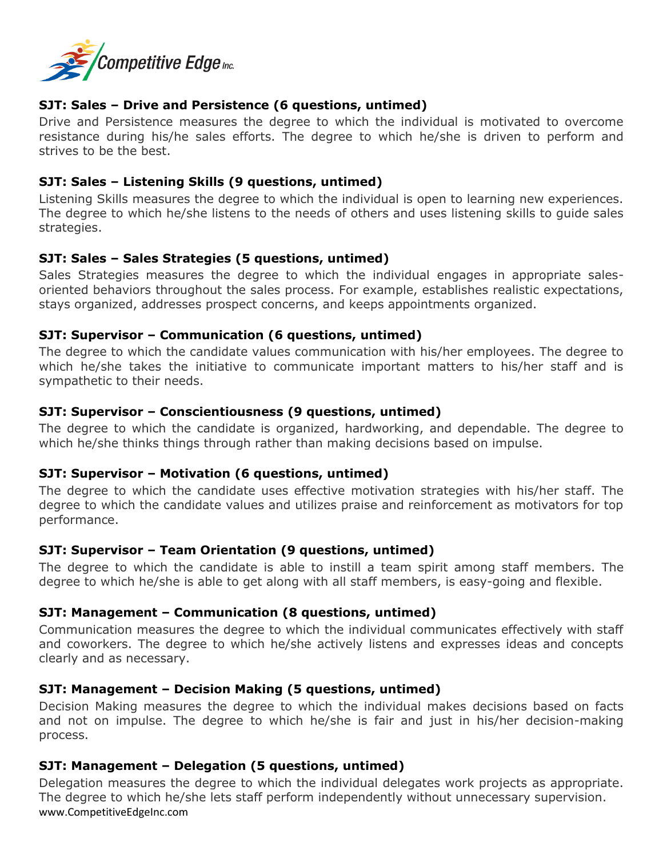

## **SJT: Sales – Drive and Persistence (6 questions, untimed)**

Drive and Persistence measures the degree to which the individual is motivated to overcome resistance during his/he sales efforts. The degree to which he/she is driven to perform and strives to be the best.

## **SJT: Sales – Listening Skills (9 questions, untimed)**

Listening Skills measures the degree to which the individual is open to learning new experiences. The degree to which he/she listens to the needs of others and uses listening skills to guide sales strategies.

## **SJT: Sales – Sales Strategies (5 questions, untimed)**

Sales Strategies measures the degree to which the individual engages in appropriate salesoriented behaviors throughout the sales process. For example, establishes realistic expectations, stays organized, addresses prospect concerns, and keeps appointments organized.

## **SJT: Supervisor – Communication (6 questions, untimed)**

The degree to which the candidate values communication with his/her employees. The degree to which he/she takes the initiative to communicate important matters to his/her staff and is sympathetic to their needs.

## **SJT: Supervisor – Conscientiousness (9 questions, untimed)**

The degree to which the candidate is organized, hardworking, and dependable. The degree to which he/she thinks things through rather than making decisions based on impulse.

## **SJT: Supervisor – Motivation (6 questions, untimed)**

The degree to which the candidate uses effective motivation strategies with his/her staff. The degree to which the candidate values and utilizes praise and reinforcement as motivators for top performance.

## **SJT: Supervisor – Team Orientation (9 questions, untimed)**

The degree to which the candidate is able to instill a team spirit among staff members. The degree to which he/she is able to get along with all staff members, is easy-going and flexible.

## **SJT: Management – Communication (8 questions, untimed)**

Communication measures the degree to which the individual communicates effectively with staff and coworkers. The degree to which he/she actively listens and expresses ideas and concepts clearly and as necessary.

## **SJT: Management – Decision Making (5 questions, untimed)**

Decision Making measures the degree to which the individual makes decisions based on facts and not on impulse. The degree to which he/she is fair and just in his/her decision-making process.

## **SJT: Management – Delegation (5 questions, untimed)**

www.CompetitiveEdgeInc.com Delegation measures the degree to which the individual delegates work projects as appropriate. The degree to which he/she lets staff perform independently without unnecessary supervision.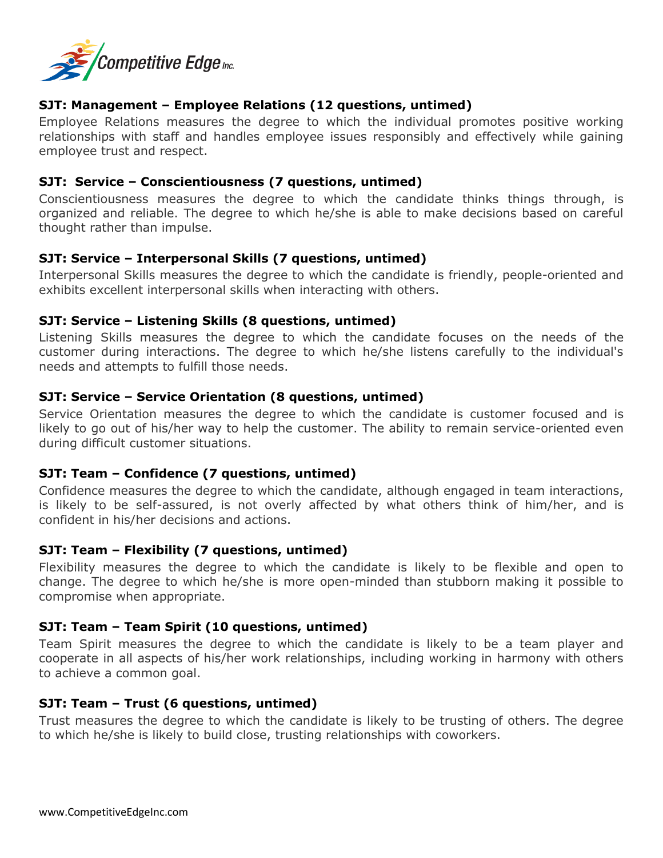

## **SJT: Management – Employee Relations (12 questions, untimed)**

Employee Relations measures the degree to which the individual promotes positive working relationships with staff and handles employee issues responsibly and effectively while gaining employee trust and respect.

### **SJT: Service – Conscientiousness (7 questions, untimed)**

Conscientiousness measures the degree to which the candidate thinks things through, is organized and reliable. The degree to which he/she is able to make decisions based on careful thought rather than impulse.

### **SJT: Service – Interpersonal Skills (7 questions, untimed)**

Interpersonal Skills measures the degree to which the candidate is friendly, people-oriented and exhibits excellent interpersonal skills when interacting with others.

#### **SJT: Service – Listening Skills (8 questions, untimed)**

Listening Skills measures the degree to which the candidate focuses on the needs of the customer during interactions. The degree to which he/she listens carefully to the individual's needs and attempts to fulfill those needs.

### **SJT: Service – Service Orientation (8 questions, untimed)**

Service Orientation measures the degree to which the candidate is customer focused and is likely to go out of his/her way to help the customer. The ability to remain service-oriented even during difficult customer situations.

#### **SJT: Team – Confidence (7 questions, untimed)**

Confidence measures the degree to which the candidate, although engaged in team interactions, is likely to be self-assured, is not overly affected by what others think of him/her, and is confident in his/her decisions and actions.

## **SJT: Team – Flexibility (7 questions, untimed)**

Flexibility measures the degree to which the candidate is likely to be flexible and open to change. The degree to which he/she is more open-minded than stubborn making it possible to compromise when appropriate.

## **SJT: Team – Team Spirit (10 questions, untimed)**

Team Spirit measures the degree to which the candidate is likely to be a team player and cooperate in all aspects of his/her work relationships, including working in harmony with others to achieve a common goal.

#### **SJT: Team – Trust (6 questions, untimed)**

Trust measures the degree to which the candidate is likely to be trusting of others. The degree to which he/she is likely to build close, trusting relationships with coworkers.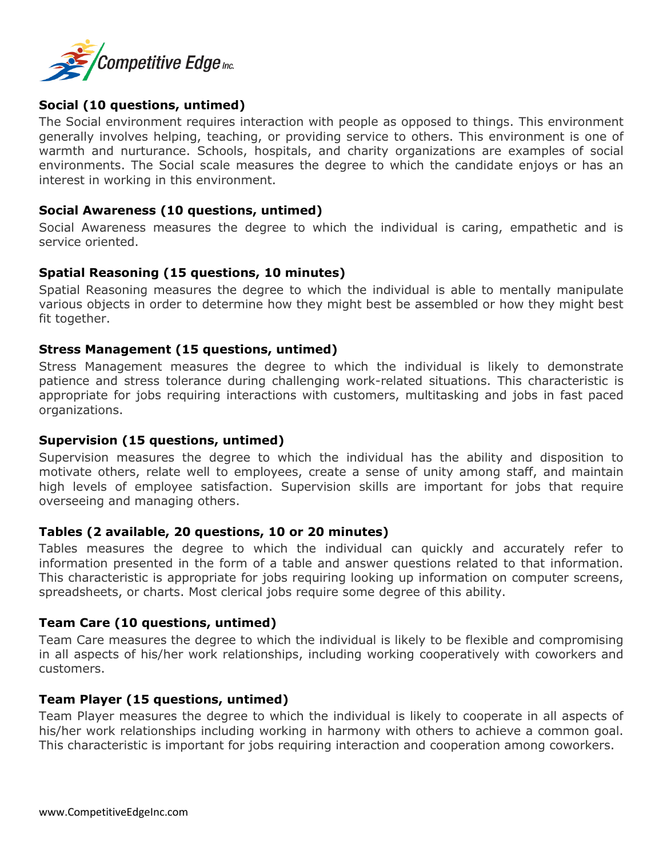

### **Social (10 questions, untimed)**

The Social environment requires interaction with people as opposed to things. This environment generally involves helping, teaching, or providing service to others. This environment is one of warmth and nurturance. Schools, hospitals, and charity organizations are examples of social environments. The Social scale measures the degree to which the candidate enjoys or has an interest in working in this environment.

#### **Social Awareness (10 questions, untimed)**

Social Awareness measures the degree to which the individual is caring, empathetic and is service oriented.

#### **Spatial Reasoning (15 questions, 10 minutes)**

Spatial Reasoning measures the degree to which the individual is able to mentally manipulate various objects in order to determine how they might best be assembled or how they might best fit together.

#### **Stress Management (15 questions, untimed)**

Stress Management measures the degree to which the individual is likely to demonstrate patience and stress tolerance during challenging work-related situations. This characteristic is appropriate for jobs requiring interactions with customers, multitasking and jobs in fast paced organizations.

#### **Supervision (15 questions, untimed)**

Supervision measures the degree to which the individual has the ability and disposition to motivate others, relate well to employees, create a sense of unity among staff, and maintain high levels of employee satisfaction. Supervision skills are important for jobs that require overseeing and managing others.

#### **Tables (2 available, 20 questions, 10 or 20 minutes)**

Tables measures the degree to which the individual can quickly and accurately refer to information presented in the form of a table and answer questions related to that information. This characteristic is appropriate for jobs requiring looking up information on computer screens, spreadsheets, or charts. Most clerical jobs require some degree of this ability.

#### **Team Care (10 questions, untimed)**

Team Care measures the degree to which the individual is likely to be flexible and compromising in all aspects of his/her work relationships, including working cooperatively with coworkers and customers.

#### **Team Player (15 questions, untimed)**

Team Player measures the degree to which the individual is likely to cooperate in all aspects of his/her work relationships including working in harmony with others to achieve a common goal. This characteristic is important for jobs requiring interaction and cooperation among coworkers.